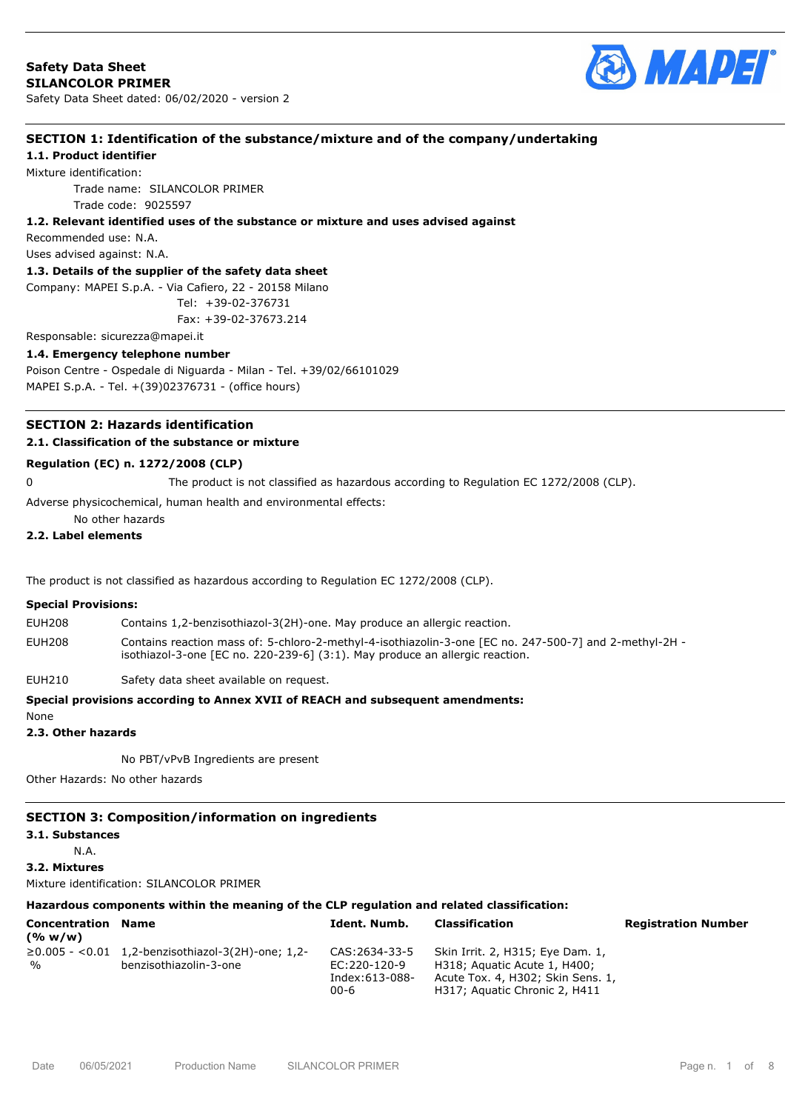

# **SECTION 1: Identification of the substance/mixture and of the company/undertaking**

**1.1. Product identifier**

Mixture identification:

Trade name: SILANCOLOR PRIMER Trade code: 9025597

#### **1.2. Relevant identified uses of the substance or mixture and uses advised against**

Recommended use: N.A.

Uses advised against: N.A.

## **1.3. Details of the supplier of the safety data sheet**

Company: MAPEI S.p.A. - Via Cafiero, 22 - 20158 Milano

```
 Tel: +39-02-376731
```
Fax: +39-02-37673.214

# Responsable: sicurezza@mapei.it

**1.4. Emergency telephone number** Poison Centre - Ospedale di Niguarda - Milan - Tel. +39/02/66101029 MAPEI S.p.A. - Tel. +(39)02376731 - (office hours)

# **SECTION 2: Hazards identification**

# **2.1. Classification of the substance or mixture**

## **Regulation (EC) n. 1272/2008 (CLP)**

0 The product is not classified as hazardous according to Regulation EC 1272/2008 (CLP).

Adverse physicochemical, human health and environmental effects:

No other hazards

# **2.2. Label elements**

The product is not classified as hazardous according to Regulation EC 1272/2008 (CLP).

### **Special Provisions:**

- EUH208 Contains 1,2-benzisothiazol-3(2H)-one. May produce an allergic reaction.
- EUH208 Contains reaction mass of: 5-chloro-2-methyl-4-isothiazolin-3-one [EC no. 247-500-7] and 2-methyl-2H isothiazol-3-one [EC no. 220-239-6] (3:1). May produce an allergic reaction.

EUH210 Safety data sheet available on request.

## **Special provisions according to Annex XVII of REACH and subsequent amendments:**

# **2.3. Other hazards**

None

No PBT/vPvB Ingredients are present

Other Hazards: No other hazards

## **SECTION 3: Composition/information on ingredients**

**3.1. Substances**

N.A.

**3.2. Mixtures**

Mixture identification: SILANCOLOR PRIMER

# **Hazardous components within the meaning of the CLP regulation and related classification:**

| <b>Concentration Name</b><br>(% w/w) |                                                         | Ident. Numb.   | Classification                    | <b>Registration Number</b> |
|--------------------------------------|---------------------------------------------------------|----------------|-----------------------------------|----------------------------|
|                                      | $\geq$ 0.005 - <0.01 1,2-benzisothiazol-3(2H)-one; 1,2- | CAS:2634-33-5  | Skin Irrit. 2, H315; Eye Dam. 1,  |                            |
| $\frac{1}{2}$                        | benzisothiazolin-3-one                                  | EC:220-120-9   | H318; Aquatic Acute 1, H400;      |                            |
|                                      |                                                         | Index:613-088- | Acute Tox. 4, H302; Skin Sens. 1, |                            |
|                                      |                                                         | $00 - 6$       | H317; Aguatic Chronic 2, H411     |                            |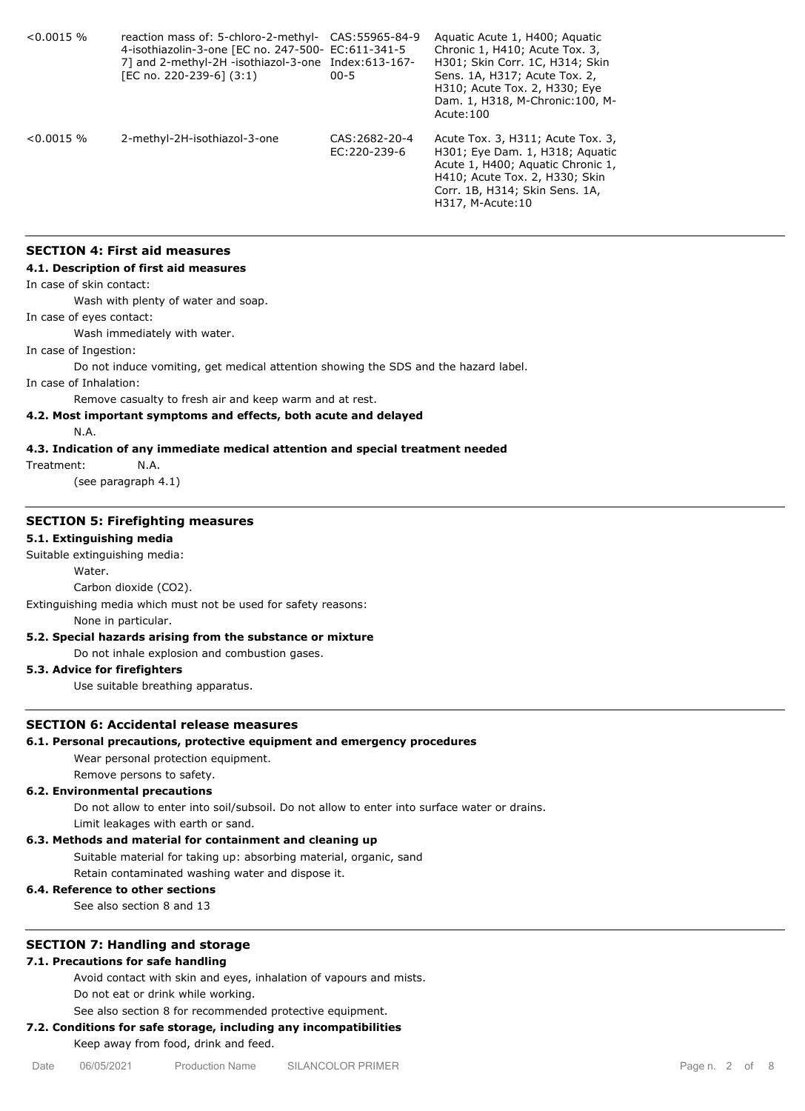| $0.0015\%$    | reaction mass of: 5-chloro-2-methyl-<br>4-isothiazolin-3-one [EC no. 247-500- EC:611-341-5<br>7] and 2-methyl-2H -isothiazol-3-one Index:613-167-<br>[EC no. 220-239-6] (3:1) | CAS: 55965-84-9<br>$00 - 5$    | Aguatic Acute 1, H400; Aguatic<br>Chronic 1, H410; Acute Tox. 3,<br>H301; Skin Corr. 1C, H314; Skin<br>Sens. 1A, H317; Acute Tox. 2,<br>H310; Acute Tox. 2, H330; Eye<br>Dam. 1, H318, M-Chronic: 100, M-<br>Acute: 100 |
|---------------|-------------------------------------------------------------------------------------------------------------------------------------------------------------------------------|--------------------------------|-------------------------------------------------------------------------------------------------------------------------------------------------------------------------------------------------------------------------|
| $< 0.0015 \%$ | 2-methyl-2H-isothiazol-3-one                                                                                                                                                  | CAS: 2682-20-4<br>EC:220-239-6 | Acute Tox. 3, H311; Acute Tox. 3,<br>H301; Eye Dam. 1, H318; Aguatic<br>Acute 1, H400; Aquatic Chronic 1,<br>H410; Acute Tox. 2, H330; Skin<br>Corr. 1B, H314; Skin Sens. 1A,<br>H317, M-Acute: 10                      |

# **SECTION 4: First aid measures**

## **4.1. Description of first aid measures**

In case of skin contact:

Wash with plenty of water and soap.

In case of eyes contact:

Wash immediately with water.

In case of Ingestion:

Do not induce vomiting, get medical attention showing the SDS and the hazard label.

In case of Inhalation:

Remove casualty to fresh air and keep warm and at rest.

# **4.2. Most important symptoms and effects, both acute and delayed**

N.A.

# **4.3. Indication of any immediate medical attention and special treatment needed**

Treatment: N.A.

(see paragraph 4.1)

#### **SECTION 5: Firefighting measures**

## **5.1. Extinguishing media**

Suitable extinguishing media:

Water.

#### Carbon dioxide (CO2).

Extinguishing media which must not be used for safety reasons: None in particular.

## **5.2. Special hazards arising from the substance or mixture**

Do not inhale explosion and combustion gases.

# **5.3. Advice for firefighters**

Use suitable breathing apparatus.

# **SECTION 6: Accidental release measures**

## **6.1. Personal precautions, protective equipment and emergency procedures**

Wear personal protection equipment.

Remove persons to safety.

# **6.2. Environmental precautions**

Do not allow to enter into soil/subsoil. Do not allow to enter into surface water or drains.

Limit leakages with earth or sand.

# **6.3. Methods and material for containment and cleaning up**

Suitable material for taking up: absorbing material, organic, sand

Retain contaminated washing water and dispose it.

# **6.4. Reference to other sections**

See also section 8 and 13

# **SECTION 7: Handling and storage**

# **7.1. Precautions for safe handling**

Avoid contact with skin and eyes, inhalation of vapours and mists.

Do not eat or drink while working.

See also section 8 for recommended protective equipment.

# **7.2. Conditions for safe storage, including any incompatibilities**

Keep away from food, drink and feed.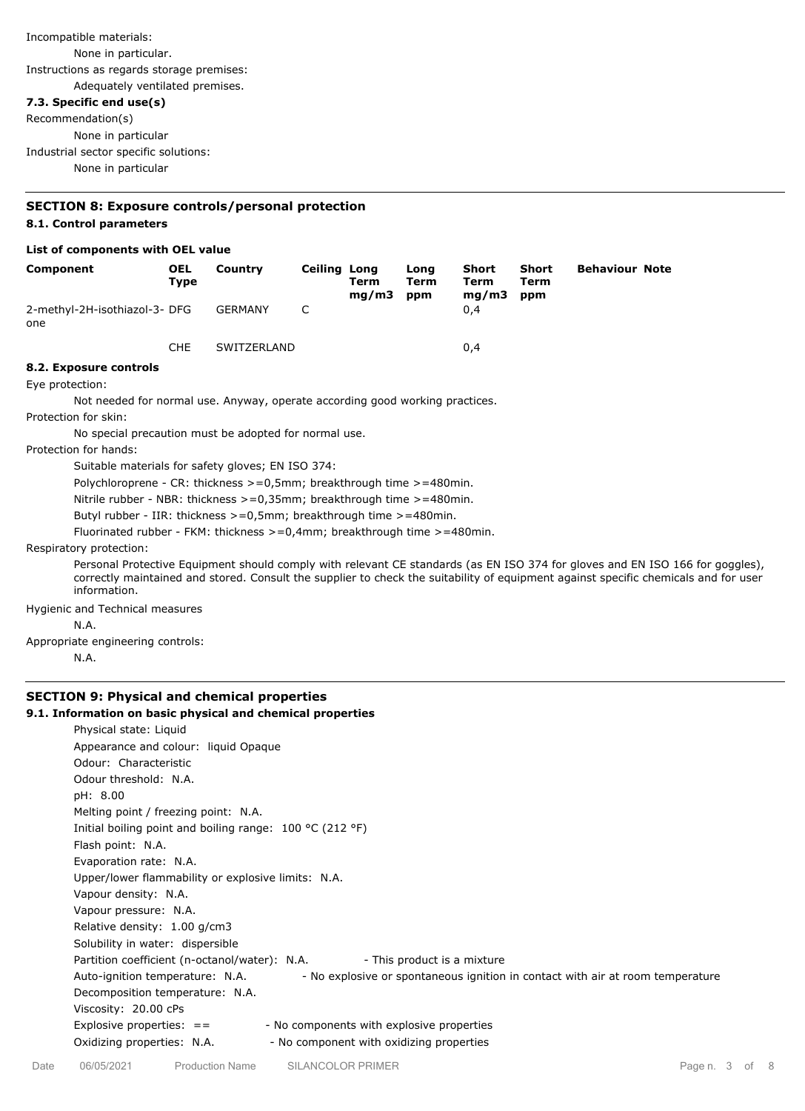# Incompatible materials: None in particular. Instructions as regards storage premises: Adequately ventilated premises.

# **7.3. Specific end use(s)**

Recommendation(s) None in particular Industrial sector specific solutions:

None in particular

# **SECTION 8: Exposure controls/personal protection 8.1. Control parameters**

# **List of components with OEL value**

| Component                                                                          | <b>OEL</b><br><b>Type</b>                                                      | Country        | <b>Ceiling Long</b> | Term<br>mg/m3 | Long<br>Term<br>ppm | Short<br>Term<br>mg/m3 | <b>Short</b><br><b>Term</b><br>ppm | <b>Behaviour Note</b> |                                                                                                                                                                                                                                                                      |
|------------------------------------------------------------------------------------|--------------------------------------------------------------------------------|----------------|---------------------|---------------|---------------------|------------------------|------------------------------------|-----------------------|----------------------------------------------------------------------------------------------------------------------------------------------------------------------------------------------------------------------------------------------------------------------|
| 2-methyl-2H-isothiazol-3- DFG<br>one                                               |                                                                                | <b>GERMANY</b> | C                   |               |                     | 0,4                    |                                    |                       |                                                                                                                                                                                                                                                                      |
|                                                                                    | <b>CHE</b>                                                                     | SWITZERLAND    |                     |               |                     | 0,4                    |                                    |                       |                                                                                                                                                                                                                                                                      |
| 8.2. Exposure controls                                                             |                                                                                |                |                     |               |                     |                        |                                    |                       |                                                                                                                                                                                                                                                                      |
| Eye protection:                                                                    |                                                                                |                |                     |               |                     |                        |                                    |                       |                                                                                                                                                                                                                                                                      |
| Not needed for normal use. Anyway, operate according good working practices.       |                                                                                |                |                     |               |                     |                        |                                    |                       |                                                                                                                                                                                                                                                                      |
| Protection for skin:                                                               |                                                                                |                |                     |               |                     |                        |                                    |                       |                                                                                                                                                                                                                                                                      |
| No special precaution must be adopted for normal use.                              |                                                                                |                |                     |               |                     |                        |                                    |                       |                                                                                                                                                                                                                                                                      |
| Protection for hands:                                                              |                                                                                |                |                     |               |                     |                        |                                    |                       |                                                                                                                                                                                                                                                                      |
| Suitable materials for safety gloves; EN ISO 374:                                  |                                                                                |                |                     |               |                     |                        |                                    |                       |                                                                                                                                                                                                                                                                      |
|                                                                                    | Polychloroprene - CR: thickness $> = 0.5$ mm; breakthrough time $> = 480$ min. |                |                     |               |                     |                        |                                    |                       |                                                                                                                                                                                                                                                                      |
|                                                                                    | Nitrile rubber - NBR: thickness $>=0.35$ mm; breakthrough time $>=480$ min.    |                |                     |               |                     |                        |                                    |                       |                                                                                                                                                                                                                                                                      |
|                                                                                    | Butyl rubber - IIR: thickness $> = 0.5$ mm; breakthrough time $> = 480$ min.   |                |                     |               |                     |                        |                                    |                       |                                                                                                                                                                                                                                                                      |
| Fluorinated rubber - FKM: thickness $> = 0.4$ mm; breakthrough time $> = 480$ min. |                                                                                |                |                     |               |                     |                        |                                    |                       |                                                                                                                                                                                                                                                                      |
| Respiratory protection:                                                            |                                                                                |                |                     |               |                     |                        |                                    |                       |                                                                                                                                                                                                                                                                      |
| information.                                                                       |                                                                                |                |                     |               |                     |                        |                                    |                       | Personal Protective Equipment should comply with relevant CE standards (as EN ISO 374 for gloves and EN ISO 166 for goggles),<br>correctly maintained and stored. Consult the supplier to check the suitability of equipment against specific chemicals and for user |
| Hygienic and Technical measures                                                    |                                                                                |                |                     |               |                     |                        |                                    |                       |                                                                                                                                                                                                                                                                      |
| N.A.                                                                               |                                                                                |                |                     |               |                     |                        |                                    |                       |                                                                                                                                                                                                                                                                      |
| Appropriate engineering controls:                                                  |                                                                                |                |                     |               |                     |                        |                                    |                       |                                                                                                                                                                                                                                                                      |
| N.A.                                                                               |                                                                                |                |                     |               |                     |                        |                                    |                       |                                                                                                                                                                                                                                                                      |

# **SECTION 9: Physical and chemical properties**

# **9.1. Information on basic physical and chemical properties**

| . Information on basic physical and chemical properties                                                           |
|-------------------------------------------------------------------------------------------------------------------|
| Physical state: Liquid                                                                                            |
| Appearance and colour: liquid Opaque                                                                              |
| Odour: Characteristic                                                                                             |
| Odour threshold: N.A.                                                                                             |
| pH: 8.00                                                                                                          |
| Melting point / freezing point: N.A.                                                                              |
| Initial boiling point and boiling range: $100 \degree C$ (212 °F)                                                 |
| Flash point: N.A.                                                                                                 |
| Evaporation rate: N.A.                                                                                            |
| Upper/lower flammability or explosive limits: N.A.                                                                |
| Vapour density: N.A.                                                                                              |
| Vapour pressure: N.A.                                                                                             |
| Relative density: 1.00 g/cm3                                                                                      |
| Solubility in water: dispersible                                                                                  |
| Partition coefficient (n-octanol/water): N.A.<br>- This product is a mixture                                      |
| - No explosive or spontaneous ignition in contact with air at room temperature<br>Auto-ignition temperature: N.A. |
| Decomposition temperature: N.A.                                                                                   |
| Viscosity: 20.00 cPs                                                                                              |
| - No components with explosive properties<br>Explosive properties: $=$                                            |
| Oxidizing properties: N.A.<br>- No component with oxidizing properties                                            |
|                                                                                                                   |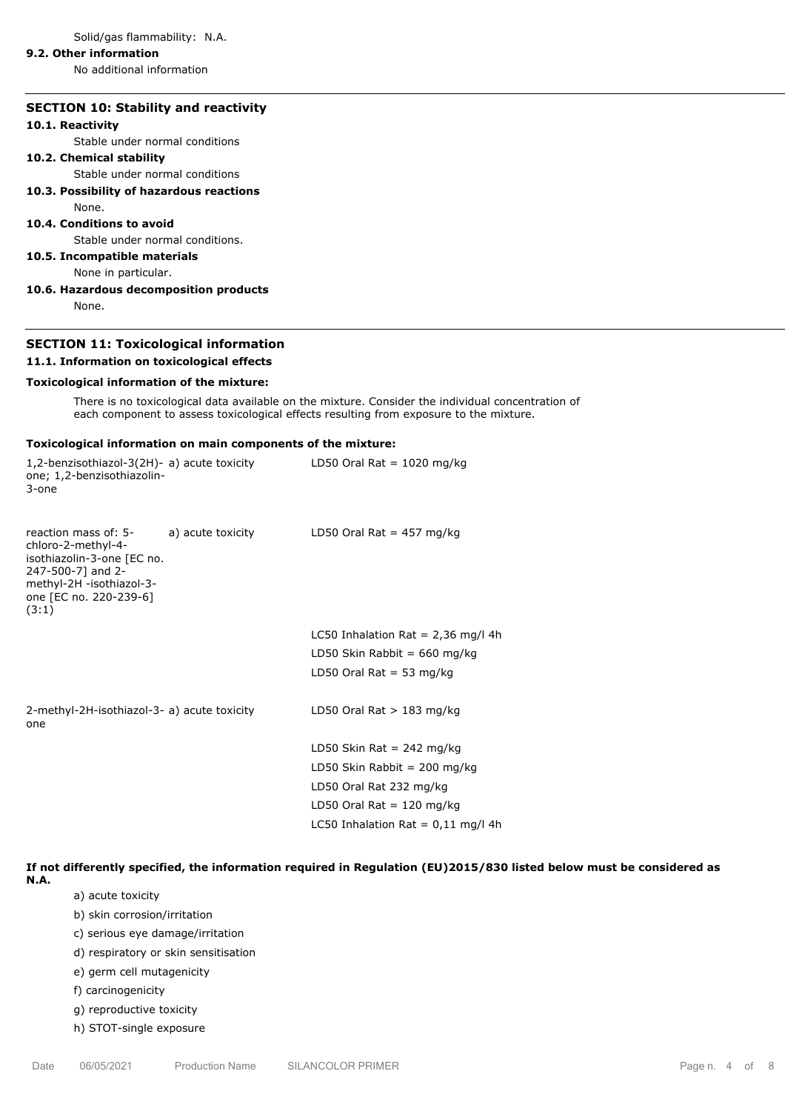Solid/gas flammability: N.A.

# **9.2. Other information**

No additional information

# **SECTION 10: Stability and reactivity**

#### **10.1. Reactivity**

Stable under normal conditions

# **10.2. Chemical stability**

Stable under normal conditions

# **10.3. Possibility of hazardous reactions**

None.

# **10.4. Conditions to avoid**

Stable under normal conditions.

# **10.5. Incompatible materials**

None in particular.

**10.6. Hazardous decomposition products** None.

# **SECTION 11: Toxicological information**

#### **11.1. Information on toxicological effects**

# **Toxicological information of the mixture:**

There is no toxicological data available on the mixture. Consider the individual concentration of each component to assess toxicological effects resulting from exposure to the mixture.

### **Toxicological information on main components of the mixture:**

| 1,2-benzisothiazol-3(2H)- a) acute toxicity<br>one; 1,2-benzisothiazolin-<br>3-one                                                                                             | LD50 Oral Rat = $1020$ mg/kg         |
|--------------------------------------------------------------------------------------------------------------------------------------------------------------------------------|--------------------------------------|
| reaction mass of: 5- a) acute toxicity<br>chloro-2-methyl-4-<br>isothiazolin-3-one [EC no.<br>247-500-7] and 2-<br>methyl-2H -isothiazol-3-<br>one [EC no. 220-239-6]<br>(3:1) | LD50 Oral Rat = $457 \text{ mg/kg}$  |
|                                                                                                                                                                                | LC50 Inhalation Rat = $2,36$ mg/l 4h |
|                                                                                                                                                                                | LD50 Skin Rabbit = $660$ mg/kg       |
|                                                                                                                                                                                | LD50 Oral Rat = 53 mg/kg             |
| 2-methyl-2H-isothiazol-3- a) acute toxicity<br>one                                                                                                                             | LD50 Oral Rat $>$ 183 mg/kg          |
|                                                                                                                                                                                | LD50 Skin Rat = 242 mg/kg            |
|                                                                                                                                                                                | LD50 Skin Rabbit = 200 mg/kg         |
|                                                                                                                                                                                | LD50 Oral Rat 232 mg/kg              |
|                                                                                                                                                                                | LD50 Oral Rat = $120 \text{ mg/kg}$  |
|                                                                                                                                                                                | LC50 Inhalation Rat = $0,11$ mg/l 4h |
|                                                                                                                                                                                |                                      |

## **If not differently specified, the information required in Regulation (EU)2015/830 listed below must be considered as**

- **N.A.**
- a) acute toxicity b) skin corrosion/irritation
- c) serious eye damage/irritation
- 
- d) respiratory or skin sensitisation
- e) germ cell mutagenicity
- f) carcinogenicity
- g) reproductive toxicity
- h) STOT-single exposure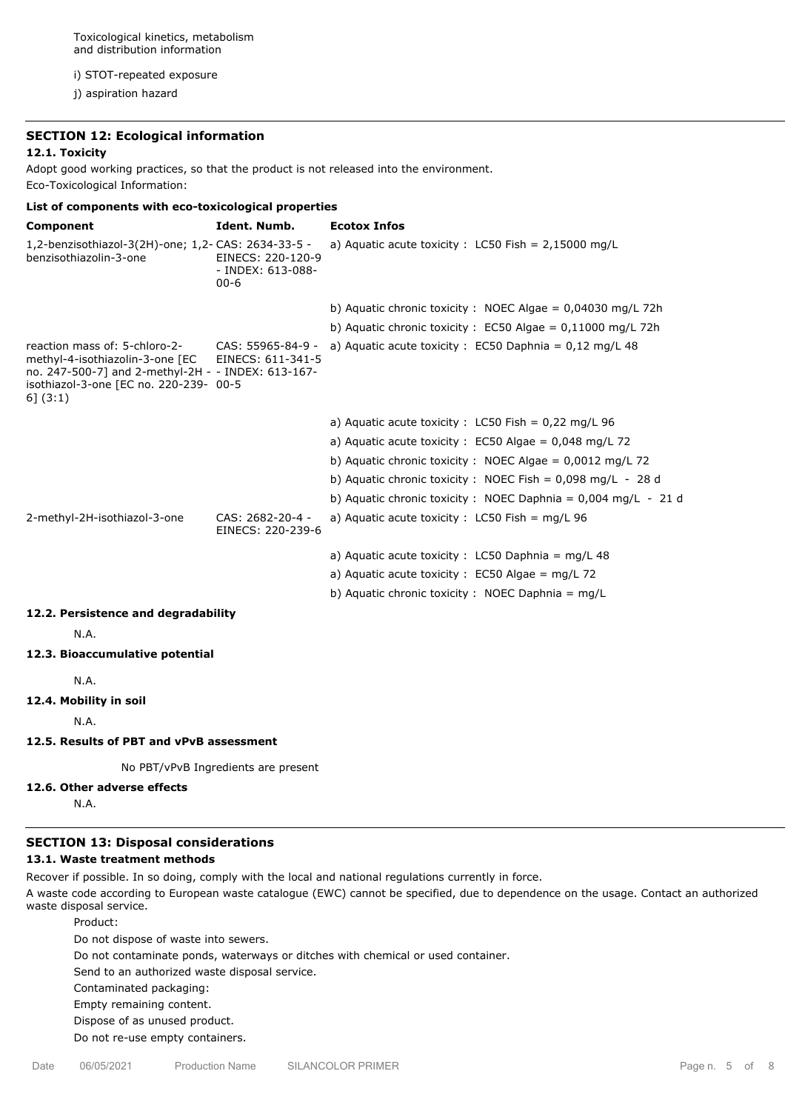Toxicological kinetics, metabolism and distribution information

i) STOT-repeated exposure

j) aspiration hazard

# **SECTION 12: Ecological information**

# **12.1. Toxicity**

Adopt good working practices, so that the product is not released into the environment. Eco-Toxicological Information:

| List of components with eco-toxicological properties                                                                                                                              |                                                    |                                                                    |  |  |  |
|-----------------------------------------------------------------------------------------------------------------------------------------------------------------------------------|----------------------------------------------------|--------------------------------------------------------------------|--|--|--|
| Component                                                                                                                                                                         | Ident. Numb.                                       | <b>Ecotox Infos</b>                                                |  |  |  |
| 1,2-benzisothiazol-3(2H)-one; 1,2- CAS: 2634-33-5 -<br>benzisothiazolin-3-one                                                                                                     | EINECS: 220-120-9<br>- INDEX: 613-088-<br>$00 - 6$ | a) Aquatic acute toxicity : LC50 Fish = $2,15000$ mg/L             |  |  |  |
|                                                                                                                                                                                   |                                                    | b) Aquatic chronic toxicity : NOEC Algae = $0.04030$ mg/L 72h      |  |  |  |
|                                                                                                                                                                                   |                                                    | b) Aquatic chronic toxicity : $EC50$ Algae = 0,11000 mg/L 72h      |  |  |  |
| reaction mass of: 5-chloro-2-<br>methyl-4-isothiazolin-3-one [EC<br>no. 247-500-7] and 2-methyl-2H - - INDEX: 613-167-<br>isothiazol-3-one [EC no. 220-239- 00-5<br>$6$ ] $(3:1)$ | CAS: 55965-84-9 -<br>EINECS: 611-341-5             | a) Aquatic acute toxicity : EC50 Daphnia = $0,12 \text{ mg/L } 48$ |  |  |  |
|                                                                                                                                                                                   |                                                    | a) Aquatic acute toxicity : $LC50$ Fish = 0,22 mg/L 96             |  |  |  |
|                                                                                                                                                                                   |                                                    | a) Aquatic acute toxicity : EC50 Algae = $0,048$ mg/L 72           |  |  |  |
|                                                                                                                                                                                   |                                                    | b) Aquatic chronic toxicity : NOEC Algae = $0,0012$ mg/L 72        |  |  |  |
|                                                                                                                                                                                   |                                                    | b) Aquatic chronic toxicity : NOEC Fish = $0.098$ mg/L - 28 d      |  |  |  |
|                                                                                                                                                                                   |                                                    | b) Aquatic chronic toxicity : NOEC Daphnia = $0,004$ mg/L - 21 d   |  |  |  |
| 2-methyl-2H-isothiazol-3-one                                                                                                                                                      | CAS: 2682-20-4 -<br>EINECS: 220-239-6              | a) Aquatic acute toxicity : LC50 Fish = mg/L 96                    |  |  |  |
|                                                                                                                                                                                   |                                                    | a) Aquatic acute toxicity : LC50 Daphnia = mg/L 48                 |  |  |  |
|                                                                                                                                                                                   |                                                    | a) Aquatic acute toxicity : EC50 Algae = mg/L 72                   |  |  |  |
|                                                                                                                                                                                   |                                                    | b) Aquatic chronic toxicity : NOEC Daphnia = mg/L                  |  |  |  |
| 12.2. Persistence and degradability                                                                                                                                               |                                                    |                                                                    |  |  |  |
| N.A.                                                                                                                                                                              |                                                    |                                                                    |  |  |  |
| 12.3. Bioaccumulative potential                                                                                                                                                   |                                                    |                                                                    |  |  |  |
| N.A.                                                                                                                                                                              |                                                    |                                                                    |  |  |  |
| 12.4. Mobility in soil                                                                                                                                                            |                                                    |                                                                    |  |  |  |
| N.A.                                                                                                                                                                              |                                                    |                                                                    |  |  |  |
| 12.5. Results of PBT and vPvB assessment                                                                                                                                          |                                                    |                                                                    |  |  |  |
|                                                                                                                                                                                   | No PBT/vPvB Ingredients are present                |                                                                    |  |  |  |
| 12.6. Other adverse effects<br>N.A.                                                                                                                                               |                                                    |                                                                    |  |  |  |

## **SECTION 13: Disposal considerations**

# **13.1. Waste treatment methods**

Recover if possible. In so doing, comply with the local and national regulations currently in force.

A waste code according to European waste catalogue (EWC) cannot be specified, due to dependence on the usage. Contact an authorized waste disposal service.

Product: Do not dispose of waste into sewers. Do not contaminate ponds, waterways or ditches with chemical or used container. Send to an authorized waste disposal service. Contaminated packaging: Empty remaining content. Dispose of as unused product. Do not re-use empty containers.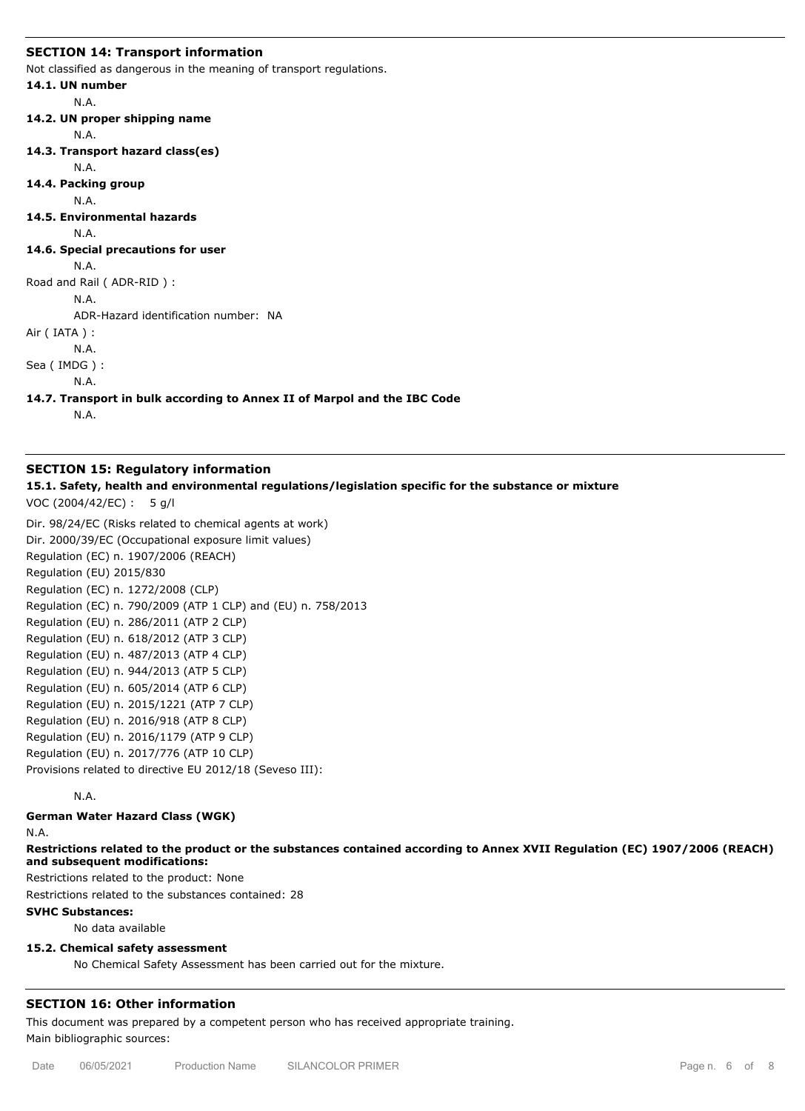## **SECTION 14: Transport information**

Not classified as dangerous in the meaning of transport regulations.

```
14.1. UN number
        N.A.
14.2. UN proper shipping name
        N.A.
14.3. Transport hazard class(es)
        N.A.
14.4. Packing group
        N.A.
14.5. Environmental hazards
        N.A.
14.6. Special precautions for user
        N.A.
Road and Rail ( ADR-RID ) :
        N.A.
        ADR-Hazard identification number: NA
Air ( IATA ) :
        N.A.
Sea ( IMDG ) :
        N.A.
```
**14.7. Transport in bulk according to Annex II of Marpol and the IBC Code**

N.A.

## **SECTION 15: Regulatory information**

**15.1. Safety, health and environmental regulations/legislation specific for the substance or mixture**

VOC (2004/42/EC) : 5 g/l

Dir. 98/24/EC (Risks related to chemical agents at work) Dir. 2000/39/EC (Occupational exposure limit values) Regulation (EC) n. 1907/2006 (REACH) Regulation (EU) 2015/830 Regulation (EC) n. 1272/2008 (CLP) Regulation (EC) n. 790/2009 (ATP 1 CLP) and (EU) n. 758/2013 Regulation (EU) n. 286/2011 (ATP 2 CLP) Regulation (EU) n. 618/2012 (ATP 3 CLP) Regulation (EU) n. 487/2013 (ATP 4 CLP) Regulation (EU) n. 944/2013 (ATP 5 CLP) Regulation (EU) n. 605/2014 (ATP 6 CLP) Regulation (EU) n. 2015/1221 (ATP 7 CLP) Regulation (EU) n. 2016/918 (ATP 8 CLP) Regulation (EU) n. 2016/1179 (ATP 9 CLP) Regulation (EU) n. 2017/776 (ATP 10 CLP) Provisions related to directive EU 2012/18 (Seveso III):

N.A.

**German Water Hazard Class (WGK)**

N.A.

**Restrictions related to the product or the substances contained according to Annex XVII Regulation (EC) 1907/2006 (REACH) and subsequent modifications:**

Restrictions related to the product: None

Restrictions related to the substances contained: 28

## **SVHC Substances:**

No data available

## **15.2. Chemical safety assessment**

No Chemical Safety Assessment has been carried out for the mixture.

## **SECTION 16: Other information**

This document was prepared by a competent person who has received appropriate training. Main bibliographic sources: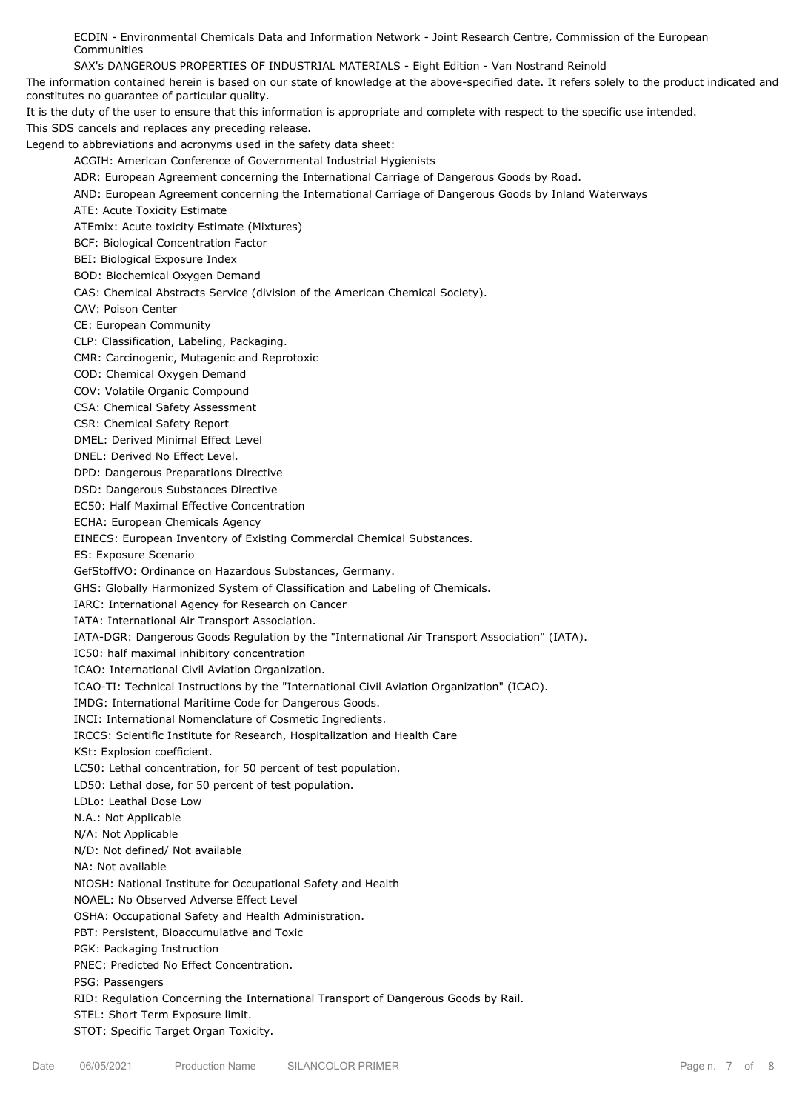ECDIN - Environmental Chemicals Data and Information Network - Joint Research Centre, Commission of the European Communities

SAX's DANGEROUS PROPERTIES OF INDUSTRIAL MATERIALS - Eight Edition - Van Nostrand Reinold

The information contained herein is based on our state of knowledge at the above-specified date. It refers solely to the product indicated and constitutes no guarantee of particular quality.

It is the duty of the user to ensure that this information is appropriate and complete with respect to the specific use intended.

This SDS cancels and replaces any preceding release.

Legend to abbreviations and acronyms used in the safety data sheet:

ACGIH: American Conference of Governmental Industrial Hygienists

ADR: European Agreement concerning the International Carriage of Dangerous Goods by Road.

AND: European Agreement concerning the International Carriage of Dangerous Goods by Inland Waterways

ATE: Acute Toxicity Estimate

ATEmix: Acute toxicity Estimate (Mixtures)

BCF: Biological Concentration Factor

BEI: Biological Exposure Index

BOD: Biochemical Oxygen Demand

CAS: Chemical Abstracts Service (division of the American Chemical Society).

CAV: Poison Center

CE: European Community

CLP: Classification, Labeling, Packaging.

CMR: Carcinogenic, Mutagenic and Reprotoxic

COD: Chemical Oxygen Demand

COV: Volatile Organic Compound

CSA: Chemical Safety Assessment

CSR: Chemical Safety Report

DMEL: Derived Minimal Effect Level

DNEL: Derived No Effect Level.

DPD: Dangerous Preparations Directive

DSD: Dangerous Substances Directive

EC50: Half Maximal Effective Concentration

ECHA: European Chemicals Agency

EINECS: European Inventory of Existing Commercial Chemical Substances.

ES: Exposure Scenario

GefStoffVO: Ordinance on Hazardous Substances, Germany.

GHS: Globally Harmonized System of Classification and Labeling of Chemicals.

IARC: International Agency for Research on Cancer

IATA: International Air Transport Association.

IATA-DGR: Dangerous Goods Regulation by the "International Air Transport Association" (IATA).

IC50: half maximal inhibitory concentration

ICAO: International Civil Aviation Organization.

ICAO-TI: Technical Instructions by the "International Civil Aviation Organization" (ICAO).

IMDG: International Maritime Code for Dangerous Goods.

INCI: International Nomenclature of Cosmetic Ingredients.

IRCCS: Scientific Institute for Research, Hospitalization and Health Care

KSt: Explosion coefficient.

LC50: Lethal concentration, for 50 percent of test population.

LD50: Lethal dose, for 50 percent of test population.

LDLo: Leathal Dose Low

N.A.: Not Applicable

N/A: Not Applicable

N/D: Not defined/ Not available

NA: Not available

NIOSH: National Institute for Occupational Safety and Health

NOAEL: No Observed Adverse Effect Level

OSHA: Occupational Safety and Health Administration.

PBT: Persistent, Bioaccumulative and Toxic

PGK: Packaging Instruction

PNEC: Predicted No Effect Concentration.

PSG: Passengers

RID: Regulation Concerning the International Transport of Dangerous Goods by Rail.

STEL: Short Term Exposure limit.

STOT: Specific Target Organ Toxicity.